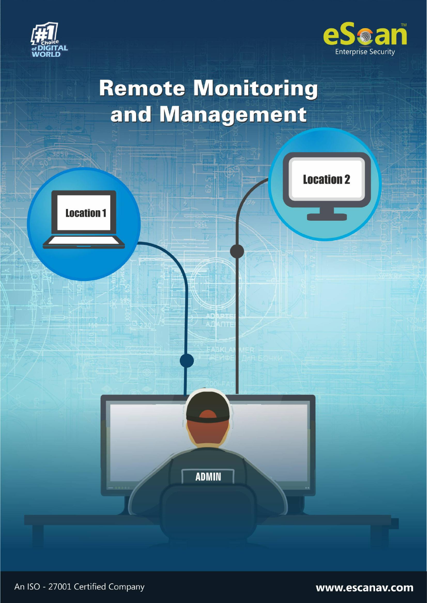



# **Remote Monitoring** and Management



www.escanav.com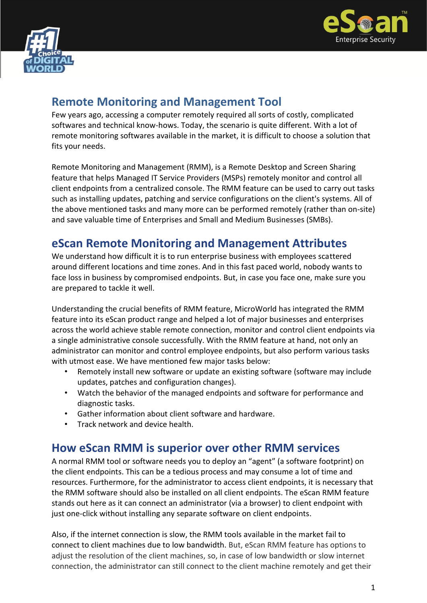



## **Remote Monitoring and Management Tool**

Few years ago, accessing a computer remotely required all sorts of costly, complicated softwares and technical know-hows. Today, the scenario is quite different. With a lot of remote monitoring softwares available in the market, it is difficult to choose a solution that fits your needs.

Remote Monitoring and Management (RMM), is a Remote Desktop and Screen Sharing feature that helps Managed IT Service Providers (MSPs) remotely monitor and control all client endpoints from a centralized console. The RMM feature can be used to carry out tasks such as installing updates, patching and service configurations on the client's systems. All of the above mentioned tasks and many more can be performed remotely (rather than on-site) and save valuable time of Enterprises and Small and Medium Businesses (SMBs).

## **eScan Remote Monitoring and Management Attributes**

We understand how difficult it is to run enterprise business with employees scattered around different locations and time zones. And in this fast paced world, nobody wants to face loss in business by compromised endpoints. But, in case you face one, make sure you are prepared to tackle it well.

Understanding the crucial benefits of RMM feature, MicroWorld has integrated the RMM feature into its eScan product range and helped a lot of major businesses and enterprises across the world achieve stable remote connection, monitor and control client endpoints via a single administrative console successfully. With the RMM feature at hand, not only an administrator can monitor and control employee endpoints, but also perform various tasks with utmost ease. We have mentioned few major tasks below:

- Remotely install new software or update an existing software (software may include updates, patches and configuration changes).
- Watch the behavior of the managed endpoints and software for performance and diagnostic tasks.
- Gather information about client software and hardware.
- Track network and device health.

## **How eScan RMM is superior over other RMM services**

A normal RMM tool or software needs you to deploy an "agent" (a software footprint) on the client endpoints. This can be a tedious process and may consume a lot of time and resources. Furthermore, for the administrator to access client endpoints, it is necessary that the RMM software should also be installed on all client endpoints. The eScan RMM feature stands out here as it can connect an administrator (via a browser) to client endpoint with just one-click without installing any separate software on client endpoints.

Also, if the internet connection is slow, the RMM tools available in the market fail to connect to client machines due to low bandwidth. But, eScan RMM feature has options to adjust the resolution of the client machines, so, in case of low bandwidth or slow internet connection, the administrator can still connect to the client machine remotely and get their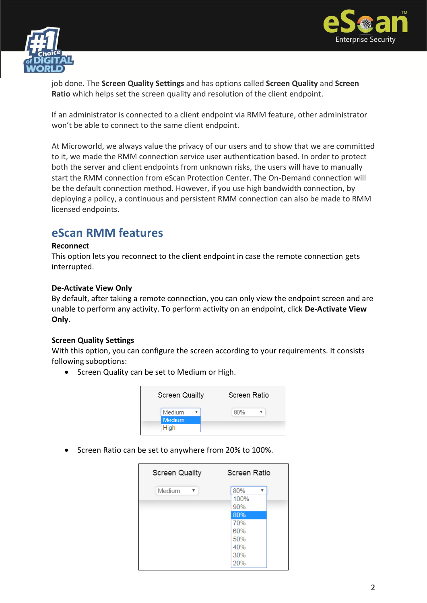



job done. The **Screen Quality Settings** and has options called **Screen Quality** and **Screen Ratio** which helps set the screen quality and resolution of the client endpoint.

If an administrator is connected to a client endpoint via RMM feature, other administrator won't be able to connect to the same client endpoint.

At Microworld, we always value the privacy of our users and to show that we are committed to it, we made the RMM connection service user authentication based. In order to protect both the server and client endpoints from unknown risks, the users will have to manually start the RMM connection from eScan Protection Center. The On-Demand connection will be the default connection method. However, if you use high bandwidth connection, by deploying a policy, a continuous and persistent RMM connection can also be made to RMM licensed endpoints.

## **eScan RMM features**

#### **Reconnect**

This option lets you reconnect to the client endpoint in case the remote connection gets interrupted.

#### **De-Activate View Only**

By default, after taking a remote connection, you can only view the endpoint screen and are unable to perform any activity. To perform activity on an endpoint, click **De-Activate View Only**.

#### **Screen Quality Settings**

With this option, you can configure the screen according to your requirements. It consists following suboptions:

• Screen Quality can be set to Medium or High.



• Screen Ratio can be set to anywhere from 20% to 100%.

| <b>Screen Quailty</b> | Screen Ratio                                                             |
|-----------------------|--------------------------------------------------------------------------|
| Medium<br>v           | 80%<br>v<br>100%<br>90%<br>80%<br>70%<br>60%<br>50%<br>40%<br>30%<br>20% |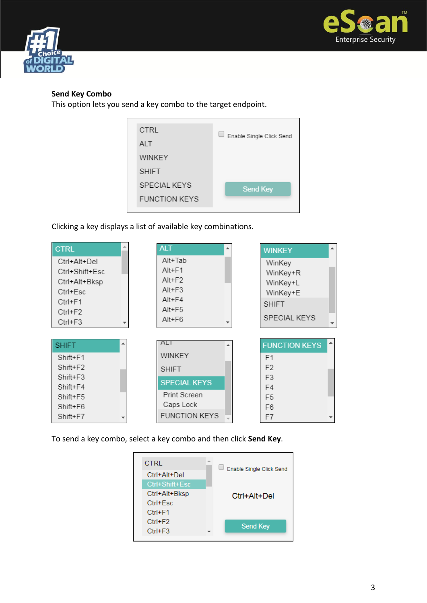



#### **Send Key Combo**

This option lets you send a key combo to the target endpoint.

| CTRL                 | Enable Single Click Send |
|----------------------|--------------------------|
| <b>ALT</b>           |                          |
| WINKEY               |                          |
| <b>SHIFT</b>         |                          |
| <b>SPECIAL KEYS</b>  | Send Key                 |
| <b>FUNCTION KEYS</b> |                          |
|                      |                          |

Clicking a key displays a list of available key combinations.



To send a key combo, select a key combo and then click **Send Key**.

| CTRL           | 业 | Enable Single Click Send |  |
|----------------|---|--------------------------|--|
| Ctrl+Alt+Del   |   |                          |  |
| Ctrl+Shift+Esc |   |                          |  |
| Ctrl+Alt+Bksp  |   | Ctrl+Alt+Del             |  |
| Ctrl+Esc       |   |                          |  |
| $Ctrl + F1$    |   |                          |  |
| $Ctrl + F2$    |   | <b>Send Key</b>          |  |
| $Ctrl + F3$    |   |                          |  |
|                |   |                          |  |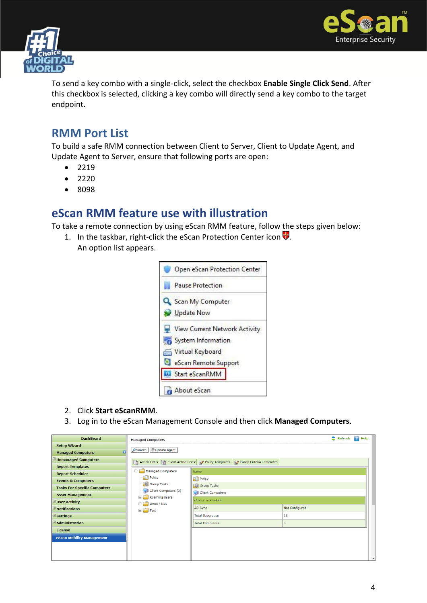



To send a key combo with a single-click, select the checkbox **Enable Single Click Send**. After this checkbox is selected, clicking a key combo will directly send a key combo to the target endpoint.

## **RMM Port List**

To build a safe RMM connection between Client to Server, Client to Update Agent, and Update Agent to Server, ensure that following ports are open:

- $2219$
- $2220$
- 8098

## **eScan RMM feature use with illustration**

To take a remote connection by using eScan RMM feature, follow the steps given below:

1. In the taskbar, right-click the eScan Protection Center icon  $\dot{\mathbf{v}}$ . An option list appears.



- 2. Click **Start eScanRMM**.
- 3. Log in to the eScan Management Console and then click **Managed Computers**.

| <b>DashBoard</b>                       | <b>Managed Computers</b>                   |                                                                                         |                | $\bullet$ Refresh | $\sqrt{2}$ Help          |  |
|----------------------------------------|--------------------------------------------|-----------------------------------------------------------------------------------------|----------------|-------------------|--------------------------|--|
| <b>Setup Wizard</b>                    |                                            |                                                                                         |                |                   |                          |  |
| o<br><b>Managed Computers</b>          | O Search & Update Agent                    |                                                                                         |                |                   |                          |  |
| $\overline{+}$ Unmanaged Computers     |                                            | Action List v   n Client Action List v   N Policy Templates   Policy Criteria Templates |                |                   |                          |  |
| <b>Report Templates</b>                |                                            |                                                                                         |                |                   |                          |  |
| <b>Report Scheduler</b>                | Managed Computers<br>Ėŀ                    | Name                                                                                    |                |                   |                          |  |
| <b>Events &amp; Computers</b>          | <b>Policy</b>                              | Policy                                                                                  |                |                   |                          |  |
| <b>Tasks For Specific Computers</b>    | <b>Group Tasks</b><br>Client Computers (3) | <b>Group Tasks</b>                                                                      |                |                   |                          |  |
| <b>Asset Management</b>                | Roaming Users<br>田                         | Client Computers                                                                        |                |                   |                          |  |
| <b>E</b> User Activity                 | Linux / Mac<br>田                           | Group Information                                                                       |                |                   |                          |  |
| $\mathbb {H}$ Notifications            | $\mathbf{H}$ Test                          | AD Sync                                                                                 | Not Configured |                   |                          |  |
| $\pm$ Settings                         |                                            | <b>Total Subgroups</b>                                                                  | 18             |                   |                          |  |
| $\mathbf{\mathbf{\pm}}$ Administration |                                            | <b>Total Computers</b>                                                                  | 3              |                   |                          |  |
| License                                |                                            |                                                                                         |                |                   |                          |  |
| eScan Mobility Management              |                                            |                                                                                         |                |                   |                          |  |
|                                        |                                            |                                                                                         |                |                   |                          |  |
|                                        |                                            |                                                                                         |                |                   |                          |  |
|                                        |                                            |                                                                                         |                |                   | $\overline{\phantom{a}}$ |  |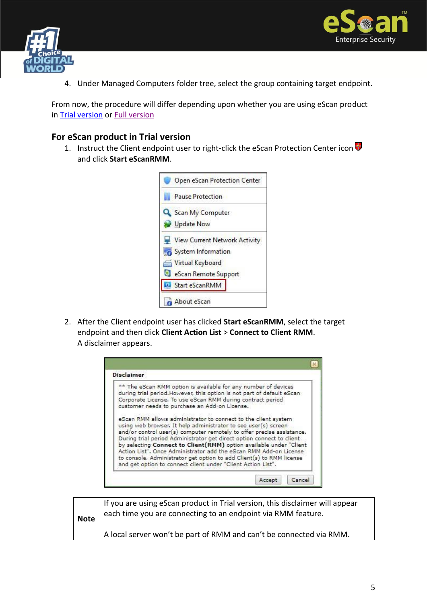



4. Under Managed Computers folder tree, select the group containing target endpoint.

From now, the procedure will differ depending upon whether you are using eScan product in [Trial version](#page-5-0) or [Full version](#page-6-0)

#### **For eScan product in Trial version**

1. Instruct the Client endpoint user to right-click the eScan Protection Center icon and click **Start eScanRMM**.

<span id="page-5-0"></span>

2. After the Client endpoint user has clicked **Start eScanRMM**, select the target endpoint and then click **Client Action List** > **Connect to Client RMM**. A disclaimer appears.

| <b>Disclaimer</b>                                                                                                                                                                                                                                                                                                                                                                                                                                                                                                                                                     |  |
|-----------------------------------------------------------------------------------------------------------------------------------------------------------------------------------------------------------------------------------------------------------------------------------------------------------------------------------------------------------------------------------------------------------------------------------------------------------------------------------------------------------------------------------------------------------------------|--|
| ** The eScan RMM option is available for any number of devices<br>during trial period. However, this option is not part of default eScan<br>Corporate License, To use eScan RMM during contract period<br>customer needs to purchase an Add-on License.                                                                                                                                                                                                                                                                                                               |  |
| eScan RMM allows administrator to connect to the client system<br>using web browser. It help administrator to see user(s) screen<br>and/or control user(s) computer remotely to offer precise assistance.<br>During trial period Administrator get direct option connect to client<br>by selecting Connect to Client(RMM) option available under "Client<br>Action List", Once Administrator add the eScan RMM Add-on License<br>to console, Administrator get option to add Client(s) to RMM license<br>and get option to connect client under "Client Action List". |  |

| <b>Note</b> | If you are using eScan product in Trial version, this disclaimer will appear<br>each time you are connecting to an endpoint via RMM feature. |
|-------------|----------------------------------------------------------------------------------------------------------------------------------------------|
|             | A local server won't be part of RMM and can't be connected via RMM.                                                                          |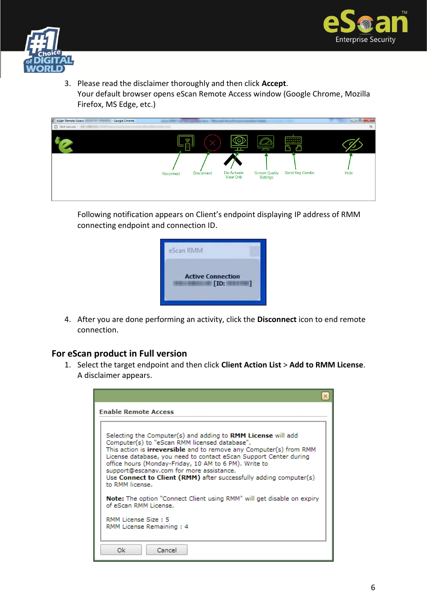



3. Please read the disclaimer thoroughly and then click **Accept**. Your default browser opens eScan Remote Access window (Google Chrome, Mozilla Firefox, MS Edge, etc.)

| eScan Remote Access<br>- Google Chrome |           |                   |                                 |                                   |                                 | $ -0 $<br>$\mathbf{x}$ |
|----------------------------------------|-----------|-------------------|---------------------------------|-----------------------------------|---------------------------------|------------------------|
| 1 Not secure                           |           |                   |                                 |                                   |                                 | $\Theta$               |
|                                        |           | Ш<br>剾            | - -                             | $\sim$                            | <b>Bearing</b><br>__<br>М<br>ď۳ |                        |
|                                        | Reconnect | <b>Disconnect</b> | De-Activate<br><b>View Only</b> | <b>Screen Quality</b><br>Settings | Send Key Combo                  | Hide                   |

Following notification appears on Client's endpoint displaying IP address of RMM connecting endpoint and connection ID.



4. After you are done performing an activity, click the **Disconnect** icon to end remote connection.

### **For eScan product in Full version**

1. Select the target endpoint and then click **Client Action List** > **Add to RMM License**. A disclaimer appears.

<span id="page-6-0"></span>

| <b>Enable Remote Access</b>                                                                                                                                                                                                                                                                                                                                                                                                                           |  |
|-------------------------------------------------------------------------------------------------------------------------------------------------------------------------------------------------------------------------------------------------------------------------------------------------------------------------------------------------------------------------------------------------------------------------------------------------------|--|
| Selecting the Computer(s) and adding to RMM License will add<br>Computer(s) to "eScan RMM licensed database".<br>This action is irreversible and to remove any Computer(s) from RMM<br>License database, you need to contact eScan Support Center during<br>office hours (Monday-Friday, 10 AM to 6 PM). Write to<br>support@escanav.com for more assistance.<br>Use Connect to Client (RMM) after successfully adding computer(s)<br>to RMM license. |  |
| Note: The option "Connect Client using RMM" will get disable on expiry<br>of eScan RMM License.                                                                                                                                                                                                                                                                                                                                                       |  |
| RMM License Size: 5<br>RMM License Remaining: 4                                                                                                                                                                                                                                                                                                                                                                                                       |  |
| Cancel<br>Ok                                                                                                                                                                                                                                                                                                                                                                                                                                          |  |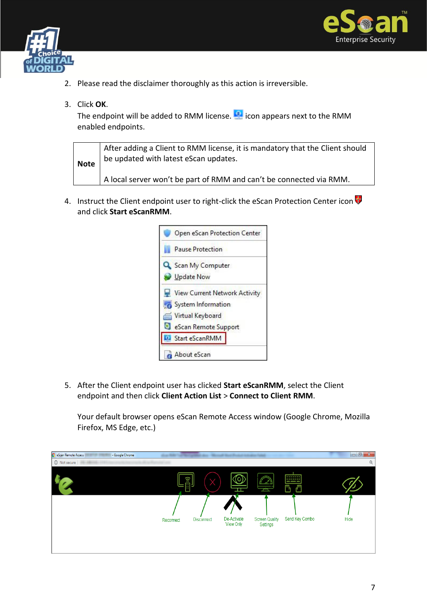



- 2. Please read the disclaimer thoroughly as this action is irreversible.
- 3. Click **OK**.

The endpoint will be added to RMM license.  $\blacksquare$  icon appears next to the RMM enabled endpoints.

| <b>Note</b> | After adding a Client to RMM license, it is mandatory that the Client should<br>be updated with latest eScan updates. |
|-------------|-----------------------------------------------------------------------------------------------------------------------|
|             | A local server won't be part of RMM and can't be connected via RMM.                                                   |

4. Instruct the Client endpoint user to right-click the eScan Protection Center icon and click **Start eScanRMM**.



5. After the Client endpoint user has clicked **Start eScanRMM**, select the Client endpoint and then click **Client Action List** > **Connect to Client RMM**.

Your default browser opens eScan Remote Access window (Google Chrome, Mozilla Firefox, MS Edge, etc.)